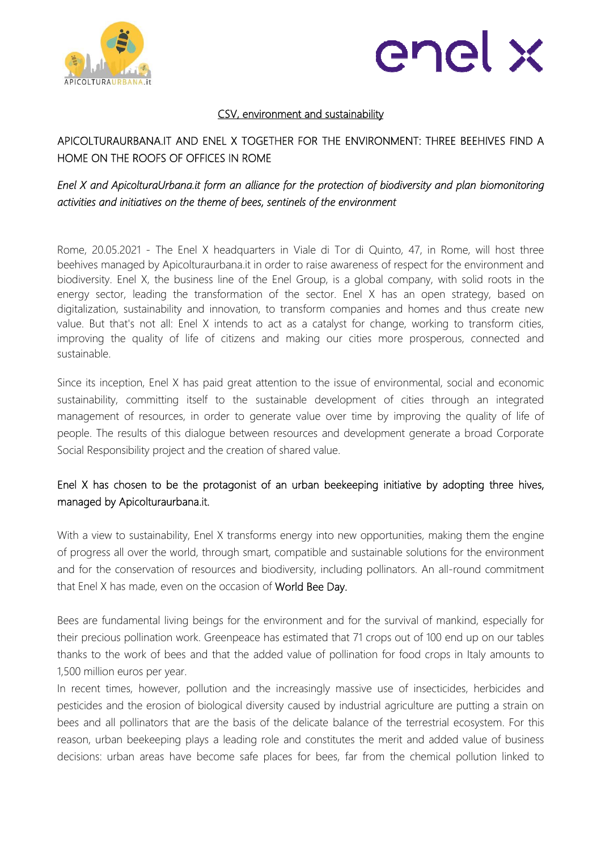



#### CSV, environment and sustainability

## APICOLTURAURBANA.IT AND ENEL X TOGETHER FOR THE ENVIRONMENT: THREE BEEHIVES FIND A HOME ON THE ROOFS OF OFFICES IN ROME

## *Enel X and ApicolturaUrbana.it form an alliance for the protection of biodiversity and plan biomonitoring activities and initiatives on the theme of bees, sentinels of the environment*

Rome, 20.05.2021 - The Enel X headquarters in Viale di Tor di Quinto, 47, in Rome, will host three beehives managed by Apicolturaurbana.it in order to raise awareness of respect for the environment and biodiversity. Enel X, the business line of the Enel Group, is a global company, with solid roots in the energy sector, leading the transformation of the sector. Enel X has an open strategy, based on digitalization, sustainability and innovation, to transform companies and homes and thus create new value. But that's not all: Enel X intends to act as a catalyst for change, working to transform cities, improving the quality of life of citizens and making our cities more prosperous, connected and sustainable.

Since its inception, Enel X has paid great attention to the issue of environmental, social and economic sustainability, committing itself to the sustainable development of cities through an integrated management of resources, in order to generate value over time by improving the quality of life of people. The results of this dialogue between resources and development generate a broad Corporate Social Responsibility project and the creation of shared value.

## Enel X has chosen to be the protagonist of an urban beekeeping initiative by adopting three hives, managed by Apicolturaurbana.it.

With a view to sustainability, Enel X transforms energy into new opportunities, making them the engine of progress all over the world, through smart, compatible and sustainable solutions for the environment and for the conservation of resources and biodiversity, including pollinators. An all-round commitment that Enel X has made, even on the occasion of World Bee Day.

Bees are fundamental living beings for the environment and for the survival of mankind, especially for their precious pollination work. Greenpeace has estimated that 71 crops out of 100 end up on our tables thanks to the work of bees and that the added value of pollination for food crops in Italy amounts to 1,500 million euros per year.

In recent times, however, pollution and the increasingly massive use of insecticides, herbicides and pesticides and the erosion of biological diversity caused by industrial agriculture are putting a strain on bees and all pollinators that are the basis of the delicate balance of the terrestrial ecosystem. For this reason, urban beekeeping plays a leading role and constitutes the merit and added value of business decisions: urban areas have become safe places for bees, far from the chemical pollution linked to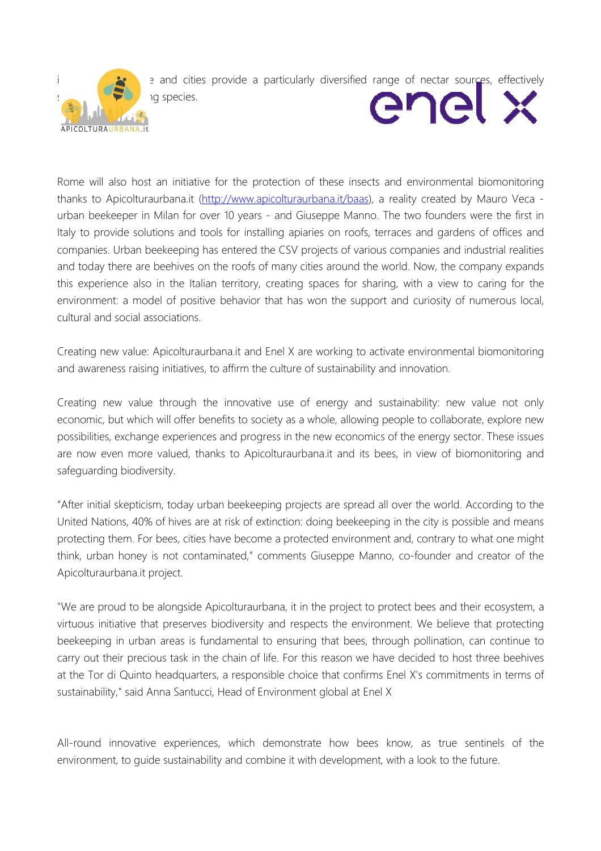

e and cities provide a particularly diversified range of nectar sources, effectively

enel x

Rome will also host an initiative for the protection of these insects and environmental biomonitoring thanks to Apicolturaurbana.it (http://www.apicolturaurbana.it/baas), a reality created by Mauro Veca urban beekeeper in Milan for over 10 years - and Giuseppe Manno. The two founders were the first in Italy to provide solutions and tools for installing apiaries on roofs, terraces and gardens of offices and companies. Urban beekeeping has entered the CSV projects of various companies and industrial realities and today there are beehives on the roofs of many cities around the world. Now, the company expands this experience also in the Italian territory, creating spaces for sharing, with a view to caring for the environment: a model of positive behavior that has won the support and curiosity of numerous local, cultural and social associations.

Creating new value: Apicolturaurbana.it and Enel X are working to activate environmental biomonitoring and awareness raising initiatives, to affirm the culture of sustainability and innovation.

Creating new value through the innovative use of energy and sustainability: new value not only economic, but which will offer benefits to society as a whole, allowing people to collaborate, explore new possibilities, exchange experiences and progress in the new economics of the energy sector. These issues are now even more valued, thanks to Apicolturaurbana.it and its bees, in view of biomonitoring and safeguarding biodiversity.

"After initial skepticism, today urban beekeeping projects are spread all over the world. According to the United Nations, 40% of hives are at risk of extinction: doing beekeeping in the city is possible and means protecting them. For bees, cities have become a protected environment and, contrary to what one might think, urban honey is not contaminated," comments Giuseppe Manno, co-founder and creator of the Apicolturaurbana.it project.

"We are proud to be alongside Apicolturaurbana, it in the project to protect bees and their ecosystem, a virtuous initiative that preserves biodiversity and respects the environment. We believe that protecting beekeeping in urban areas is fundamental to ensuring that bees, through pollination, can continue to carry out their precious task in the chain of life. For this reason we have decided to host three beehives at the Tor di Quinto headquarters, a responsible choice that confirms Enel X's commitments in terms of sustainability," said Anna Santucci, Head of Environment global at Enel X

All-round innovative experiences, which demonstrate how bees know, as true sentinels of the environment, to guide sustainability and combine it with development, with a look to the future.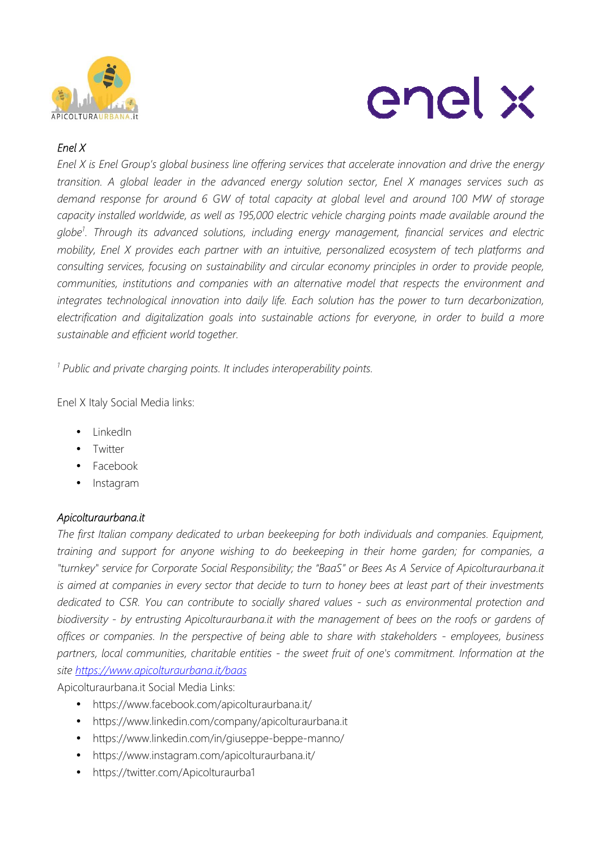



# *Enel X*

*Enel X is Enel Group's global business line offering services that accelerate innovation and drive the energy transition. A global leader in the advanced energy solution sector, Enel X manages services such as demand response for around 6 GW of total capacity at global level and around 100 MW of storage capacity installed worldwide, as well as 195,000 electric vehicle charging points made available around the globe<sup>1</sup> . Through its advanced solutions, including energy management, financial services and electric mobility, Enel X provides each partner with an intuitive, personalized ecosystem of tech platforms and consulting services, focusing on sustainability and circular economy principles in order to provide people, communities, institutions and companies with an alternative model that respects the environment and integrates technological innovation into daily life. Each solution has the power to turn decarbonization, electrification and digitalization goals into sustainable actions for everyone, in order to build a more sustainable and efficient world together.*

*1 Public and private charging points. It includes interoperability points.* 

Enel X Italy Social Media links:

- LinkedIn
- Twitter
- Facebook
- Instagram

#### *Apicolturaurbana.it*

*The first Italian company dedicated to urban beekeeping for both individuals and companies. Equipment, training and support for anyone wishing to do beekeeping in their home garden; for companies, a "turnkey" service for Corporate Social Responsibility; the "BaaS" or Bees As A Service of Apicolturaurbana.it is aimed at companies in every sector that decide to turn to honey bees at least part of their investments dedicated to CSR. You can contribute to socially shared values - such as environmental protection and biodiversity - by entrusting Apicolturaurbana.it with the management of bees on the roofs or gardens of offices or companies. In the perspective of being able to share with stakeholders - employees, business partners, local communities, charitable entities - the sweet fruit of one's commitment. Information at the site https://www.apicolturaurbana.it/baas* 

Apicolturaurbana.it Social Media Links:

- https://www.facebook.com/apicolturaurbana.it/
- https://www.linkedin.com/company/apicolturaurbana.it
- https://www.linkedin.com/in/giuseppe-beppe-manno/
- https://www.instagram.com/apicolturaurbana.it/
- https://twitter.com/Apicolturaurba1